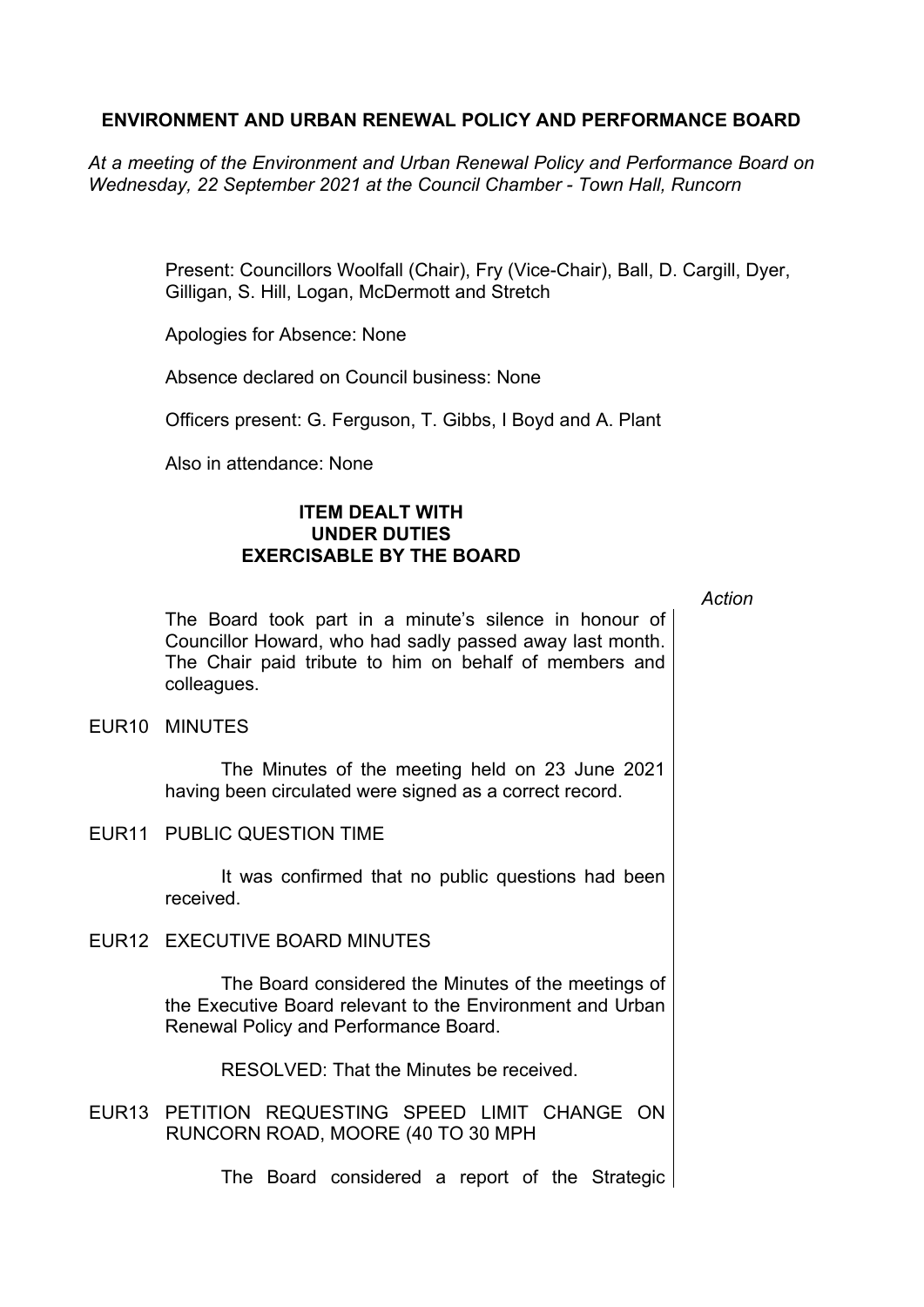## **ENVIRONMENT AND URBAN RENEWAL POLICY AND PERFORMANCE BOARD**

*At a meeting of the Environment and Urban Renewal Policy and Performance Board on Wednesday, 22 September 2021 at the Council Chamber - Town Hall, Runcorn*

> Present: Councillors Woolfall (Chair), Fry (Vice-Chair), Ball, D. Cargill, Dyer, Gilligan, S. Hill, Logan, McDermott and Stretch

Apologies for Absence: None

Absence declared on Council business: None

Officers present: G. Ferguson, T. Gibbs, I Boyd and A. Plant

Also in attendance: None

## **ITEM DEALT WITH UNDER DUTIES EXERCISABLE BY THE BOARD**

*Action*

The Board took part in a minute's silence in honour of Councillor Howard, who had sadly passed away last month. The Chair paid tribute to him on behalf of members and colleagues.

EUR10 MINUTES

The Minutes of the meeting held on 23 June 2021 having been circulated were signed as a correct record.

EUR11 PUBLIC QUESTION TIME

It was confirmed that no public questions had been received.

EUR12 EXECUTIVE BOARD MINUTES

The Board considered the Minutes of the meetings of the Executive Board relevant to the Environment and Urban Renewal Policy and Performance Board.

RESOLVED: That the Minutes be received.

EUR13 PETITION REQUESTING SPEED LIMIT CHANGE ON RUNCORN ROAD, MOORE (40 TO 30 MPH

The Board considered a report of the Strategic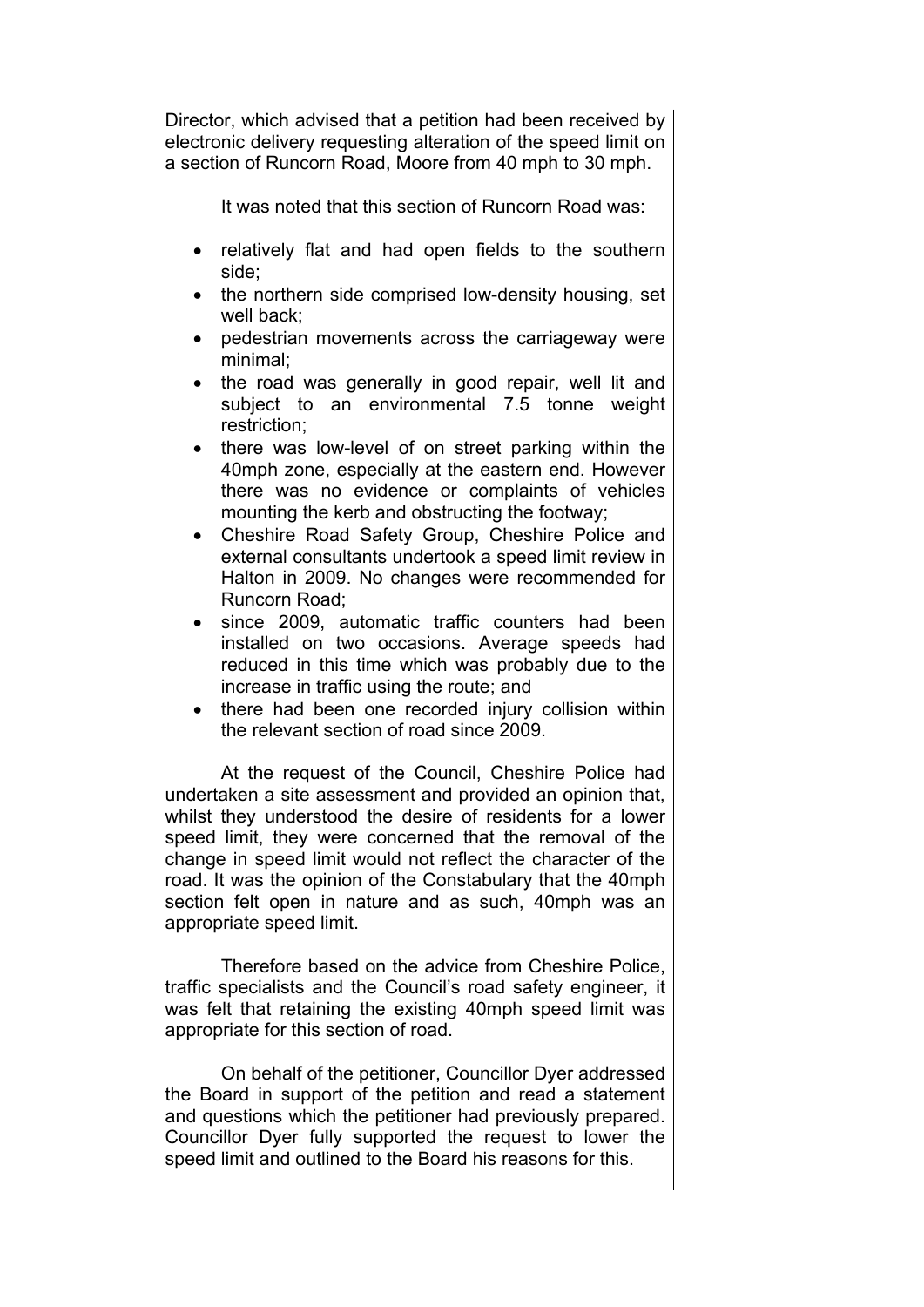Director, which advised that a petition had been received by electronic delivery requesting alteration of the speed limit on a section of Runcorn Road, Moore from 40 mph to 30 mph.

It was noted that this section of Runcorn Road was:

- relatively flat and had open fields to the southern side;
- the northern side comprised low-density housing, set well back;
- pedestrian movements across the carriageway were minimal;
- the road was generally in good repair, well lit and subject to an environmental 7.5 tonne weight restriction;
- there was low-level of on street parking within the 40mph zone, especially at the eastern end. However there was no evidence or complaints of vehicles mounting the kerb and obstructing the footway;
- Cheshire Road Safety Group, Cheshire Police and external consultants undertook a speed limit review in Halton in 2009. No changes were recommended for Runcorn Road;
- since 2009, automatic traffic counters had been installed on two occasions. Average speeds had reduced in this time which was probably due to the increase in traffic using the route; and
- there had been one recorded injury collision within the relevant section of road since 2009.

At the request of the Council, Cheshire Police had undertaken a site assessment and provided an opinion that, whilst they understood the desire of residents for a lower speed limit, they were concerned that the removal of the change in speed limit would not reflect the character of the road. It was the opinion of the Constabulary that the 40mph section felt open in nature and as such, 40mph was an appropriate speed limit.

Therefore based on the advice from Cheshire Police, traffic specialists and the Council's road safety engineer, it was felt that retaining the existing 40mph speed limit was appropriate for this section of road.

On behalf of the petitioner, Councillor Dyer addressed the Board in support of the petition and read a statement and questions which the petitioner had previously prepared. Councillor Dyer fully supported the request to lower the speed limit and outlined to the Board his reasons for this.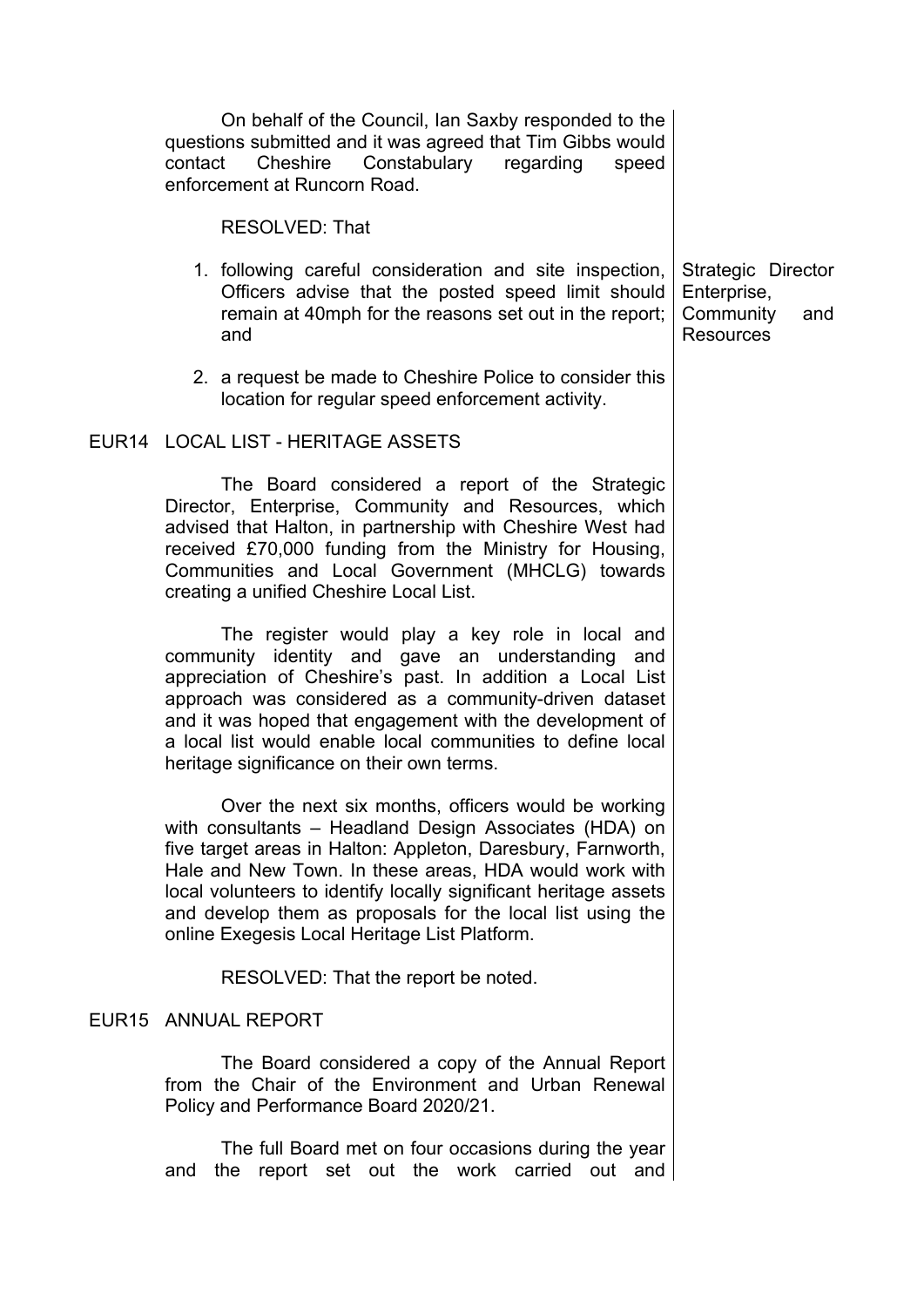| On behalf of the Council, Ian Saxby responded to the<br>questions submitted and it was agreed that Tim Gibbs would<br>Constabulary regarding<br>Cheshire<br>contact<br>speed<br>enforcement at Runcorn Road.                                                                                                                                                                                                               |                                                                           |
|----------------------------------------------------------------------------------------------------------------------------------------------------------------------------------------------------------------------------------------------------------------------------------------------------------------------------------------------------------------------------------------------------------------------------|---------------------------------------------------------------------------|
| <b>RESOLVED: That</b>                                                                                                                                                                                                                                                                                                                                                                                                      |                                                                           |
| 1. following careful consideration and site inspection,<br>Officers advise that the posted speed limit should<br>remain at 40mph for the reasons set out in the report;<br>and                                                                                                                                                                                                                                             | Strategic Director<br>Enterprise,<br>Community<br>and<br><b>Resources</b> |
| 2. a request be made to Cheshire Police to consider this<br>location for regular speed enforcement activity.                                                                                                                                                                                                                                                                                                               |                                                                           |
| EUR14 LOCAL LIST - HERITAGE ASSETS                                                                                                                                                                                                                                                                                                                                                                                         |                                                                           |
| The Board considered a report of the Strategic<br>Director, Enterprise, Community and Resources, which<br>advised that Halton, in partnership with Cheshire West had<br>received £70,000 funding from the Ministry for Housing,<br>Communities and Local Government (MHCLG) towards<br>creating a unified Cheshire Local List.                                                                                             |                                                                           |
| The register would play a key role in local and<br>community identity and gave an understanding and<br>appreciation of Cheshire's past. In addition a Local List<br>approach was considered as a community-driven dataset<br>and it was hoped that engagement with the development of<br>a local list would enable local communities to define local<br>heritage significance on their own terms.                          |                                                                           |
| Over the next six months, officers would be working<br>with consultants – Headland Design Associates (HDA) on<br>five target areas in Halton: Appleton, Daresbury, Farnworth,<br>Hale and New Town. In these areas, HDA would work with<br>local volunteers to identify locally significant heritage assets<br>and develop them as proposals for the local list using the<br>online Exegesis Local Heritage List Platform. |                                                                           |
| RESOLVED: That the report be noted.                                                                                                                                                                                                                                                                                                                                                                                        |                                                                           |
| EUR15 ANNUAL REPORT                                                                                                                                                                                                                                                                                                                                                                                                        |                                                                           |
| The Board considered a copy of the Annual Report<br>from the Chair of the Environment and Urban Renewal<br>Policy and Performance Board 2020/21.                                                                                                                                                                                                                                                                           |                                                                           |
| The full Board met on four occasions during the year<br>the report set out the work carried out and<br>and                                                                                                                                                                                                                                                                                                                 |                                                                           |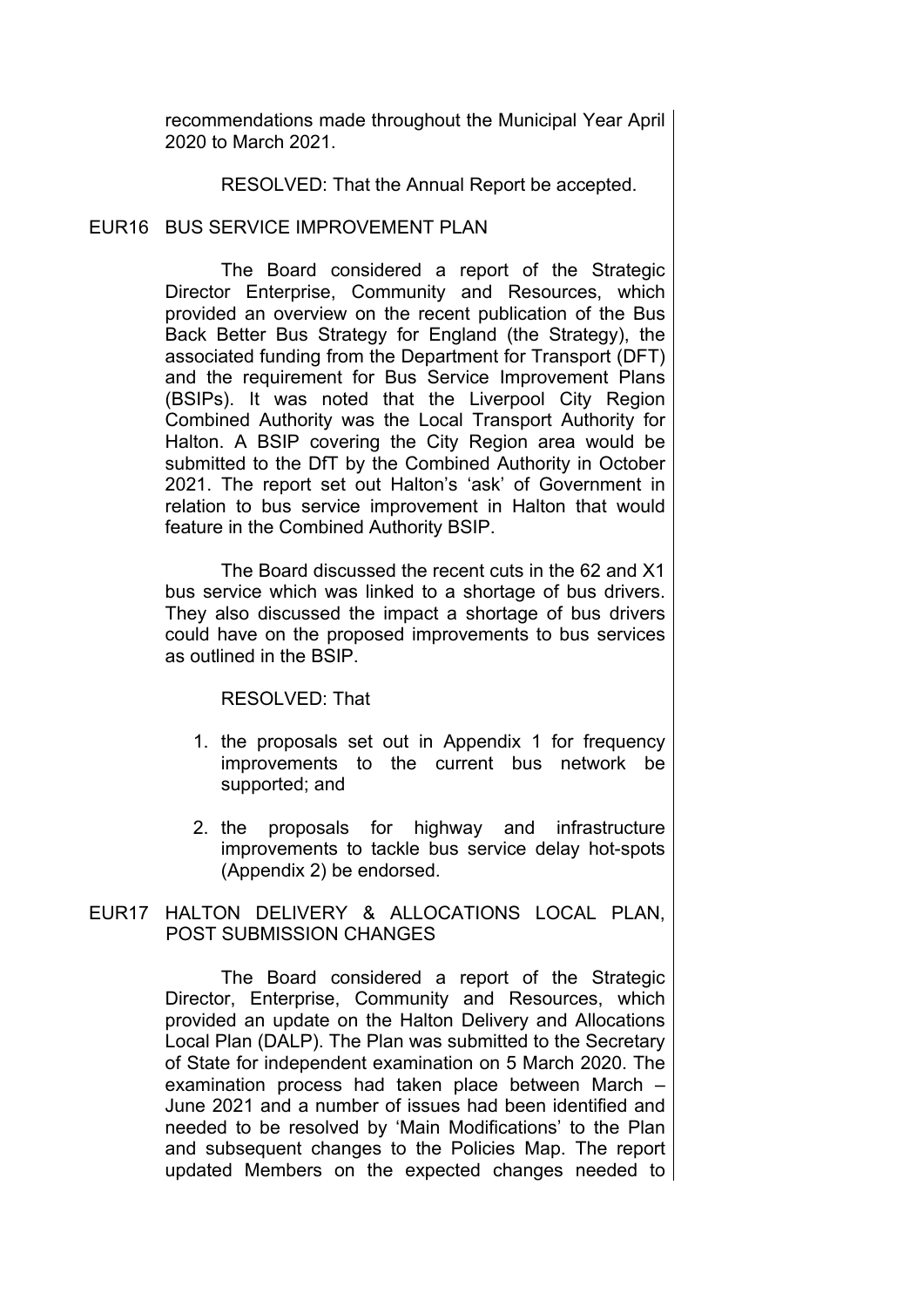recommendations made throughout the Municipal Year April 2020 to March 2021.

RESOLVED: That the Annual Report be accepted.

## EUR16 BUS SERVICE IMPROVEMENT PLAN

The Board considered a report of the Strategic Director Enterprise, Community and Resources, which provided an overview on the recent publication of the Bus Back Better Bus Strategy for England (the Strategy), the associated funding from the Department for Transport (DFT) and the requirement for Bus Service Improvement Plans (BSIPs). It was noted that the Liverpool City Region Combined Authority was the Local Transport Authority for Halton. A BSIP covering the City Region area would be submitted to the DfT by the Combined Authority in October 2021. The report set out Halton's 'ask' of Government in relation to bus service improvement in Halton that would feature in the Combined Authority BSIP.

The Board discussed the recent cuts in the 62 and X1 bus service which was linked to a shortage of bus drivers. They also discussed the impact a shortage of bus drivers could have on the proposed improvements to bus services as outlined in the BSIP.

RESOLVED: That

- 1. the proposals set out in Appendix 1 for frequency improvements to the current bus network be supported; and
- 2. the proposals for highway and infrastructure improvements to tackle bus service delay hot-spots (Appendix 2) be endorsed.

## EUR17 HALTON DELIVERY & ALLOCATIONS LOCAL PLAN, POST SUBMISSION CHANGES

The Board considered a report of the Strategic Director, Enterprise, Community and Resources, which provided an update on the Halton Delivery and Allocations Local Plan (DALP). The Plan was submitted to the Secretary of State for independent examination on 5 March 2020. The examination process had taken place between March – June 2021 and a number of issues had been identified and needed to be resolved by 'Main Modifications' to the Plan and subsequent changes to the Policies Map. The report updated Members on the expected changes needed to